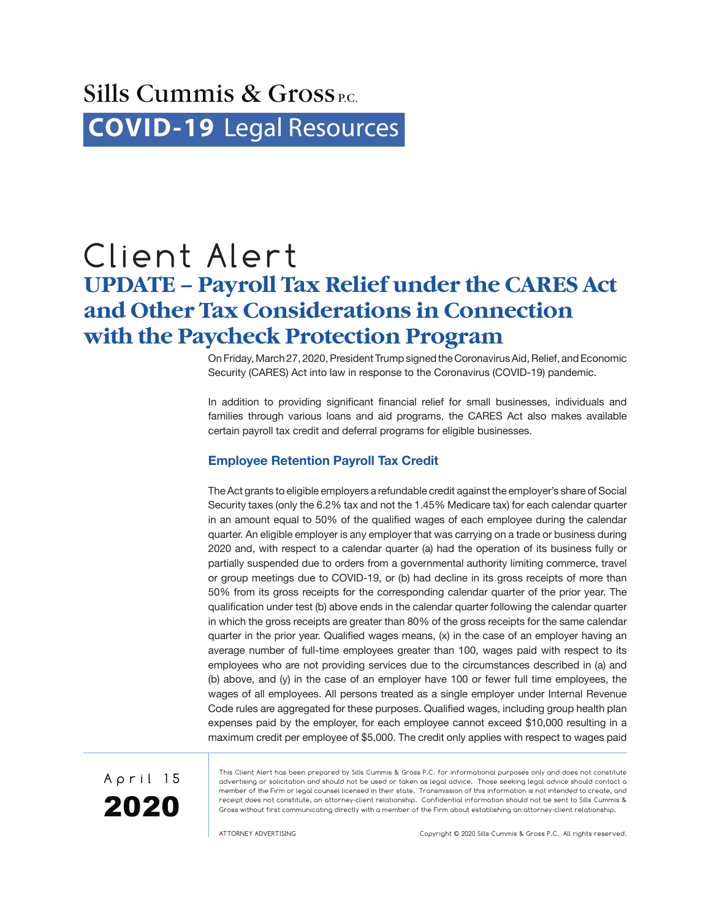# Sills Cummis  $\&$  Gross<sub>PC</sub>. **COVID-19** [Legal Resources](http://www.sillscummis.com/practices/covid-19-legal-resources.aspx)

# Client Alert **UPDATE – Payroll Tax Relief under the CARES Act and Other Tax Considerations in Connection with the Paycheck Protection Program**

On Friday, March 27, 2020, President Trump signed the Coronavirus Aid, Relief, and Economic Security (CARES) Act into law in response to the Coronavirus (COVID-19) pandemic.

In addition to providing significant financial relief for small businesses, individuals and families through various loans and aid programs, the CARES Act also makes available certain payroll tax credit and deferral programs for eligible businesses.

# **Employee Retention Payroll Tax Credit**

The Act grants to eligible employers a refundable credit against the employer's share of Social Security taxes (only the 6.2% tax and not the 1.45% Medicare tax) for each calendar quarter in an amount equal to 50% of the qualified wages of each employee during the calendar quarter. An eligible employer is any employer that was carrying on a trade or business during 2020 and, with respect to a calendar quarter (a) had the operation of its business fully or partially suspended due to orders from a governmental authority limiting commerce, travel or group meetings due to COVID-19, or (b) had decline in its gross receipts of more than 50% from its gross receipts for the corresponding calendar quarter of the prior year. The qualification under test (b) above ends in the calendar quarter following the calendar quarter in which the gross receipts are greater than 80% of the gross receipts for the same calendar quarter in the prior year. Qualified wages means, (x) in the case of an employer having an average number of full-time employees greater than 100, wages paid with respect to its employees who are not providing services due to the circumstances described in (a) and (b) above, and (y) in the case of an employer have 100 or fewer full time employees, the wages of all employees. All persons treated as a single employer under Internal Revenue Code rules are aggregated for these purposes. Qualified wages, including group health plan expenses paid by the employer, for each employee cannot exceed \$10,000 resulting in a maximum credit per employee of \$5,000. The credit only applies with respect to wages paid



This Client Alert has been prepared by Sills Cummis & Gross P.C. for informational purposes only and does not constitute advertising or solicitation and should not be used or taken as legal advice. Those seeking legal advice should contact a member of the Firm or legal counsel licensed in their state. Transmission of this information is not intended to create, and receipt does not constitute, an attorney-client relationship. Confidential information should not be sent to Sills Cummis & Gross without first communicating directly with a member of the Firm about establishing an attorney-client relationship.

ATTORNEY ADVERTISING Copyright © 2020 Sills Cummis & Gross P.C. All rights reserved.